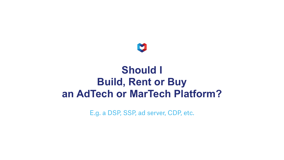#### **Should I Build, Rent or Buy an AdTech or MarTech Platform?**

E.g. a DSP, SSP, ad server, CDP, etc.

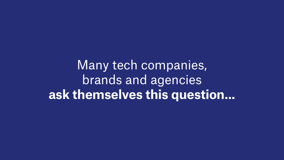### Many tech companies, brands and agencies **ask themselves this question...**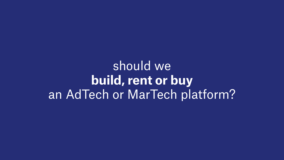should we **build, rent or buy** an AdTech or MarTech platform?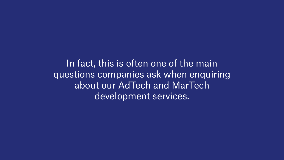In fact, this is often one of the main questions companies ask when enquiring about our AdTech and MarTech development services.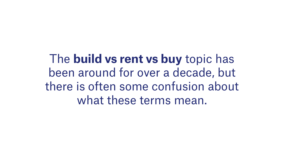The **build vs rent vs buy** topic has been around for over a decade, but there is often some confusion about what these terms mean.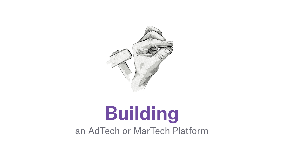# **Building** an AdTech or MarTech Platform

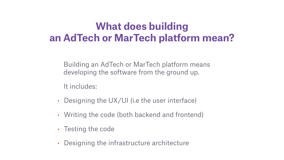#### **What does building an AdTech or MarTech platform mean?**

Building an AdTech or MarTech platform means developing the software from the ground up.

It includes:

- Designing the UX/UI (i.e the user interface)
- Writing the code (both backend and frontend)
- Testing the code
- Designing the infrastructure architecture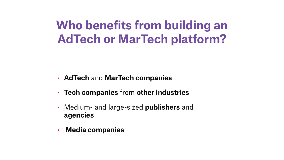### **Who benefits from building an AdTech or MarTech platform?**

- **AdTech** and **MarTech companies**
- **Tech companies** from **other industries**
- Medium- and large-sized **publishers** and **agencies**
- **Media companies**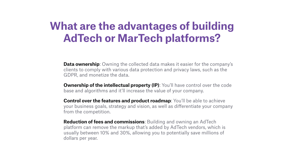### **What are the advantages of building AdTech or MarTech platforms?**

**Data ownership:** Owning the collected data makes it easier for the company's clients to comply with various data protection and privacy laws, such as the GDPR, and monetize the data.

**Ownership of the intellectual property (IP)**: You'll have control over the code base and algorithms and it'll increase the value of your company.

**Control over the features and product roadmap:** You'll be able to achieve your business goals, strategy and vision, as well as differentiate your company

from the competition.

**Reduction of fees and commissions**: Building and owning an AdTech platform can remove the markup that's added by AdTech vendors, which is usually between 10% and 30%, allowing you to potentially save millions of

dollars per year.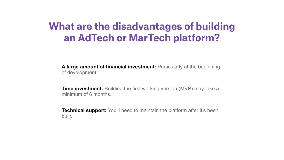#### **What are the disadvantages of building an AdTech or MarTech platform?**

**A large amount of financial investment:** Particularly at the beginning of development.

**Time investment:** Building the first working version (MVP) may take a minimum of 6 months.

**Technical support:** You'll need to maintain the platform after it's been built.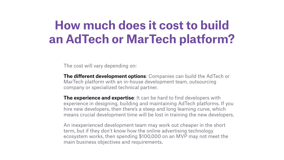### **How much does it cost to build an AdTech or MarTech platform?**

The cost will vary depending on:

**The different development options:** Companies can build the AdTech or MarTech platform with an in-house development team, outsourcing company or specialized technical partner.

**The experience and expertise**: It can be hard to find developers with experience in designing, building and maintaining AdTech platforms. If you hire new developers, then there's a steep and long learning curve, which means crucial development time will be lost in training the new developers.

An inexperienced development team may work out cheaper in the short term, but if they don't know how the online advertising technology ecosystem works, then spending \$100,000 on an MVP may not meet the main business objectives and requirements.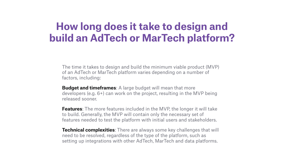#### **How long does it take to design and build an AdTech or MarTech platform?**

The time it takes to design and build the minimum viable product (MVP) of an AdTech or MarTech platform varies depending on a number of factors, including:

**Budget and timeframes**: A large budget will mean that more developers (e.g. 6+) can work on the project, resulting in the MVP being released sooner.

**Features**: The more features included in the MVP, the longer it will take to build. Generally, the MVP will contain only the necessary set of features needed to test the platform with initial users and stakeholders.

**Technical complexities**: There are always some key challenges that will need to be resolved, regardless of the type of the platform, such as setting up integrations with other AdTech, MarTech and data platforms.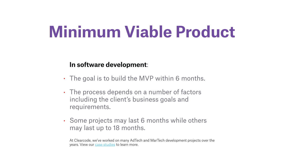# **Minimum Viable Product**

#### **In software development**:

• The goal is to build the MVP within 6 months.

At Clearcode, we've worked on many AdTech and MarTech development projects over the years. View our [case studies](https://clearcode.cc/portfolio/) to learn more.

- 
- The process depends on a number of factors including the client's business goals and requirements.
- may last up to 18 months.

• Some projects may last 6 months while others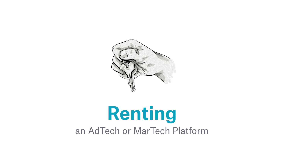

# **Renting** an AdTech or MarTech Platform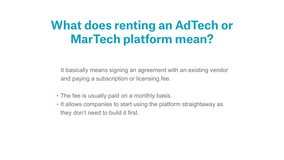### **What does renting an AdTech or MarTech platform mean?**

It basically means signing an agreement with an existing vendor and paying a subscription or licensing fee.

- The fee is usually paid on a monthly basis.
- they don't need to build it first.

• It allows companies to start using the platform straightaway as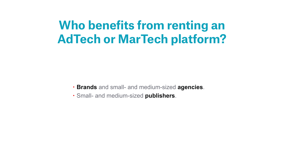### **Who benefits from renting an AdTech or MarTech platform?**

• **Brands** and small- and medium-sized **agencies**.

- 
- Small- and medium-sized **publishers**.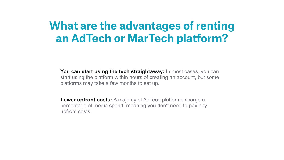### **What are the advantages of renting an AdTech or MarTech platform?**

**You can start using the tech straightaway:** In most cases, you can start using the platform within hours of creating an account, but some platforms may take a few months to set up.

**Lower upfront costs:** A majority of AdTech platforms charge a percentage of media spend, meaning you don't need to pay any upfront costs.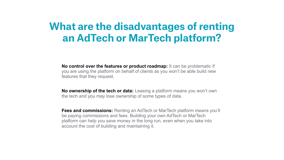#### **What are the disadvantages of renting an AdTech or MarTech platform?**

**No control over the features or product roadmap:** It can be problematic if you are using the platform on behalf of clients as you won't be able build new features that they request.

**No ownership of the tech or data:** Leasing a platform means you won't own the tech and you may lose ownership of some types of data.

**Fees and commissions:** Renting an AdTech or MarTech platform means you'll be paying commissions and fees. Building your own AdTech or MarTech platform can help you save money in the long run, even when you take into account the cost of building and maintaining it.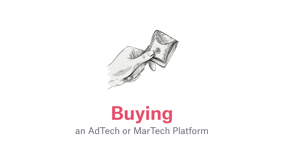

## **Buying** an AdTech or MarTech Platform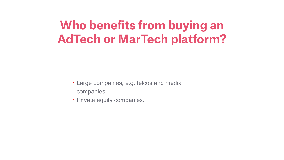### **Who benefits from buying an AdTech or MarTech platform?**

- Large companies, e.g. telcos and media companies.
- Private equity companies.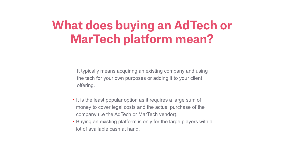### **What does buying an AdTech or MarTech platform mean?**

It typically means acquiring an existing company and using the tech for your own purposes or adding it to your client offering.

• It is the least popular option as it requires a large sum of money to cover legal costs and the actual purchase of the

- company (i.e the AdTech or MarTech vendor).
- lot of available cash at hand.

• Buying an existing platform is only for the large players with a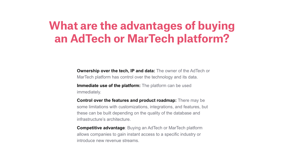### **What are the advantages of buying an AdTech or MarTech platform?**

**Ownership over the tech, IP and data:** The owner of the AdTech or MarTech platform has control over the technology and its data.

**Immediate use of the platform:** The platform can be used immediately.

**Control over the features and product roadmap:** There may be some limitations with customizations, integrations, and features, but these can be built depending on the quality of the database and infrastructure's architecture.

**Competitive advantage**: Buying an AdTech or MarTech platform allows companies to gain instant access to a specific industry or introduce new revenue streams.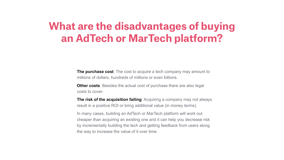#### **What are the disadvantages of buying an AdTech or MarTech platform?**

**The purchase cost**: The cost to acquire a tech company may amount to millions of dollars, hundreds of millions or even billions.

**Other costs**: Besides the actual cost of purchase there are also legal costs to cover.

**The risk of the acquisition failing**: Acquiring a company may not always result in a positive ROI or bring additional value (in money terms).

In many cases, building an AdTech or MarTech platform will work out cheaper than acquiring an existing one and it can help you decrease risk by incrementally building the tech and getting feedback from users along the way to increase the value of it over time.